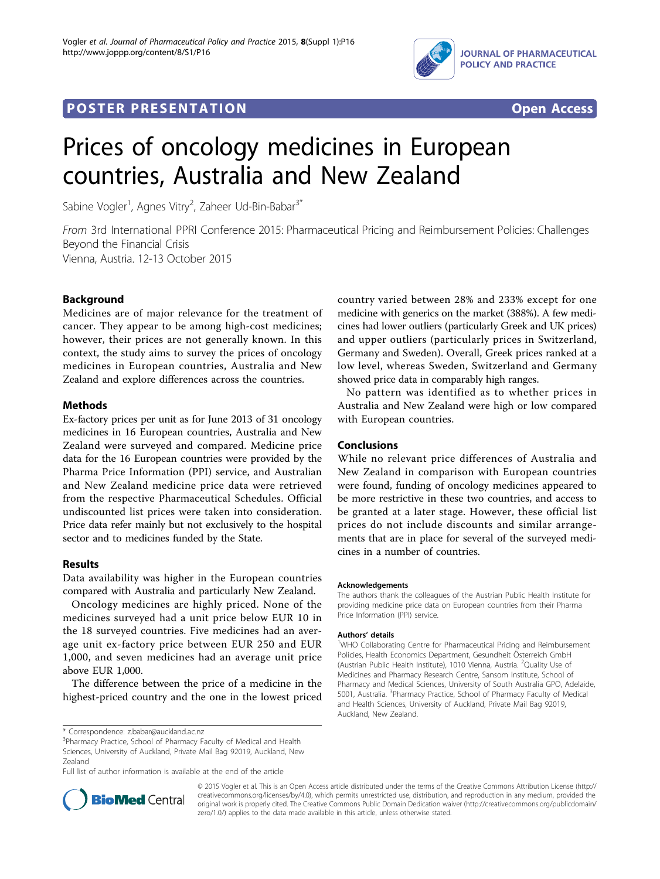

## **POSTER PRESENTATION CONSUMING THE SERVICE SERVICE SERVICES**



# Prices of oncology medicines in European countries, Australia and New Zealand

Sabine Vogler<sup>1</sup>, Agnes Vitry<sup>2</sup>, Zaheer Ud-Bin-Babar<sup>3\*</sup>

From 3rd International PPRI Conference 2015: Pharmaceutical Pricing and Reimbursement Policies: Challenges Beyond the Financial Crisis Vienna, Austria. 12-13 October 2015

## Background

Medicines are of major relevance for the treatment of cancer. They appear to be among high-cost medicines; however, their prices are not generally known. In this context, the study aims to survey the prices of oncology medicines in European countries, Australia and New Zealand and explore differences across the countries.

## **Methods**

Ex-factory prices per unit as for June 2013 of 31 oncology medicines in 16 European countries, Australia and New Zealand were surveyed and compared. Medicine price data for the 16 European countries were provided by the Pharma Price Information (PPI) service, and Australian and New Zealand medicine price data were retrieved from the respective Pharmaceutical Schedules. Official undiscounted list prices were taken into consideration. Price data refer mainly but not exclusively to the hospital sector and to medicines funded by the State.

## Results

Data availability was higher in the European countries compared with Australia and particularly New Zealand.

Oncology medicines are highly priced. None of the medicines surveyed had a unit price below EUR 10 in the 18 surveyed countries. Five medicines had an average unit ex-factory price between EUR 250 and EUR 1,000, and seven medicines had an average unit price above EUR 1,000.

The difference between the price of a medicine in the highest-priced country and the one in the lowest priced

<sup>3</sup>Pharmacy Practice, School of Pharmacy Faculty of Medical and Health Sciences, University of Auckland, Private Mail Bag 92019, Auckland, New Zealand

Full list of author information is available at the end of the article



country varied between 28% and 233% except for one medicine with generics on the market (388%). A few medicines had lower outliers (particularly Greek and UK prices) and upper outliers (particularly prices in Switzerland, Germany and Sweden). Overall, Greek prices ranked at a low level, whereas Sweden, Switzerland and Germany showed price data in comparably high ranges.

No pattern was identified as to whether prices in Australia and New Zealand were high or low compared with European countries.

#### Conclusions

While no relevant price differences of Australia and New Zealand in comparison with European countries were found, funding of oncology medicines appeared to be more restrictive in these two countries, and access to be granted at a later stage. However, these official list prices do not include discounts and similar arrangements that are in place for several of the surveyed medicines in a number of countries.

#### Acknowledgements

The authors thank the colleagues of the Austrian Public Health Institute for providing medicine price data on European countries from their Pharma Price Information (PPI) service.

#### Authors' details <sup>1</sup>

<sup>1</sup>WHO Collaborating Centre for Pharmaceutical Pricing and Reimbursement Policies, Health Economics Department, Gesundheit Österreich GmbH (Austrian Public Health Institute), 1010 Vienna, Austria. <sup>2</sup>Quality Use of Medicines and Pharmacy Research Centre, Sansom Institute, School of Pharmacy and Medical Sciences, University of South Australia GPO, Adelaide, 5001, Australia. <sup>3</sup>Pharmacy Practice, School of Pharmacy Faculty of Medical and Health Sciences, University of Auckland, Private Mail Bag 92019, Auckland, New Zealand.

© 2015 Vogler et al. This is an Open Access article distributed under the terms of the Creative Commons Attribution License [\(http://](http://creativecommons.org/licenses/by/4.0) [creativecommons.org/licenses/by/4.0](http://creativecommons.org/licenses/by/4.0)), which permits unrestricted use, distribution, and reproduction in any medium, provided the original work is properly cited. The Creative Commons Public Domain Dedication waiver ([http://creativecommons.org/publicdomain/](http://creativecommons.org/publicdomain/zero/1.0/) [zero/1.0/](http://creativecommons.org/publicdomain/zero/1.0/)) applies to the data made available in this article, unless otherwise stated.

<sup>\*</sup> Correspondence: [z.babar@auckland.ac.nz](mailto:z.babar@auckland.ac.nz)